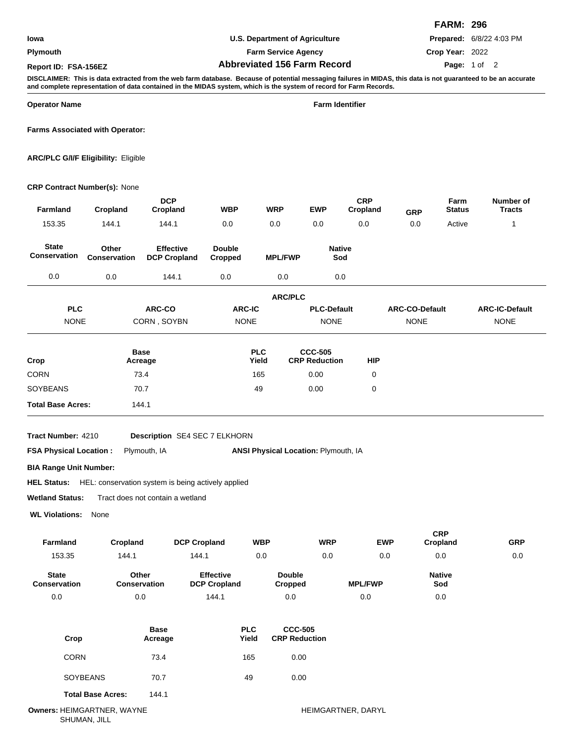## **Plymouth**

**U.S. Department of Agriculture**

**Farm Service Agency**

**Abbreviated 156 Farm Record Report ID: FSA-156EZ Page:**

**Prepared:** 6/8/22 4:03 PM

**Crop Year:** 2022 Page: 1 of 2

**FARM: 296**

**DISCLAIMER: This is data extracted from the web farm database. Because of potential messaging failures in MIDAS, this data is not guaranteed to be an accurate and complete representation of data contained in the MIDAS system, which is the system of record for Farm Records.**

**Operator Name Farm Identifier**

**Farms Associated with Operator:**

**ARC/PLC G/I/F Eligibility:** Eligible

## **CRP Contract Number(s):** None

| Farmland                            | Cropland              | <b>DCP</b><br>Cropland                                         | WBP                                     | <b>WRP</b>          |                                        | <b>EWP</b>                             | <b>CRP</b><br>Cropland | <b>GRP</b>                           | Farm<br><b>Status</b>  | Number of<br><b>Tracts</b>           |
|-------------------------------------|-----------------------|----------------------------------------------------------------|-----------------------------------------|---------------------|----------------------------------------|----------------------------------------|------------------------|--------------------------------------|------------------------|--------------------------------------|
| 153.35                              | 144.1                 | 144.1                                                          | 0.0                                     | 0.0                 |                                        | 0.0                                    | 0.0                    | 0.0                                  | Active                 | $\mathbf{1}$                         |
| <b>State</b><br><b>Conservation</b> | Other<br>Conservation | <b>Effective</b><br><b>DCP Cropland</b>                        | <b>Double</b><br><b>Cropped</b>         |                     | <b>MPL/FWP</b>                         | <b>Native</b><br>Sod                   |                        |                                      |                        |                                      |
| $0.0\,$                             | 0.0                   | 144.1                                                          | 0.0                                     |                     | 0.0                                    | 0.0                                    |                        |                                      |                        |                                      |
|                                     |                       |                                                                |                                         |                     | <b>ARC/PLC</b>                         |                                        |                        |                                      |                        |                                      |
| <b>PLC</b><br><b>NONE</b>           |                       | ARC-CO<br>CORN, SOYBN                                          | ARC-IC<br><b>NONE</b>                   |                     |                                        | <b>PLC-Default</b><br><b>NONE</b>      |                        | <b>ARC-CO-Default</b><br><b>NONE</b> |                        | <b>ARC-IC-Default</b><br><b>NONE</b> |
| Crop                                |                       | <b>Base</b><br>Acreage                                         |                                         | <b>PLC</b><br>Yield |                                        | <b>CCC-505</b><br><b>CRP Reduction</b> | <b>HIP</b>             |                                      |                        |                                      |
| <b>CORN</b>                         |                       | 73.4                                                           |                                         | 165                 |                                        | 0.00                                   | 0                      |                                      |                        |                                      |
| <b>SOYBEANS</b>                     |                       | 70.7                                                           |                                         | 49                  |                                        | 0.00                                   | 0                      |                                      |                        |                                      |
| <b>Total Base Acres:</b>            |                       | 144.1                                                          |                                         |                     |                                        |                                        |                        |                                      |                        |                                      |
| Tract Number: 4210                  |                       | Description SE4 SEC 7 ELKHORN                                  |                                         |                     |                                        |                                        |                        |                                      |                        |                                      |
| <b>FSA Physical Location:</b>       |                       | Plymouth, IA                                                   |                                         |                     |                                        | ANSI Physical Location: Plymouth, IA   |                        |                                      |                        |                                      |
| <b>BIA Range Unit Number:</b>       |                       |                                                                |                                         |                     |                                        |                                        |                        |                                      |                        |                                      |
|                                     |                       | HEL Status: HEL: conservation system is being actively applied |                                         |                     |                                        |                                        |                        |                                      |                        |                                      |
| <b>Wetland Status:</b>              |                       | Tract does not contain a wetland                               |                                         |                     |                                        |                                        |                        |                                      |                        |                                      |
| <b>WL Violations:</b>               | None                  |                                                                |                                         |                     |                                        |                                        |                        |                                      |                        |                                      |
| <b>Farmland</b>                     | Cropland              | <b>DCP Cropland</b>                                            |                                         | <b>WBP</b>          |                                        | <b>WRP</b>                             |                        | <b>EWP</b>                           | <b>CRP</b><br>Cropland | <b>GRP</b>                           |
| 153.35                              | 144.1                 | 144.1                                                          |                                         | 0.0                 |                                        | 0.0                                    |                        | 0.0                                  | 0.0                    | 0.0                                  |
| <b>State</b><br><b>Conservation</b> | Conservation          | Other                                                          | <b>Effective</b><br><b>DCP Cropland</b> |                     | <b>Double</b><br><b>Cropped</b>        |                                        | <b>MPL/FWP</b>         |                                      | <b>Native</b><br>Sod   |                                      |
| 0.0                                 | 0.0                   |                                                                | 144.1                                   |                     | 0.0                                    |                                        | 0.0                    |                                      | 0.0                    |                                      |
| Crop                                |                       | <b>Base</b><br>Acreage                                         | <b>PLC</b><br>Yield                     |                     | <b>CCC-505</b><br><b>CRP Reduction</b> |                                        |                        |                                      |                        |                                      |

| <b>CORN</b>              | 73.4  | 165 | 0.00 |
|--------------------------|-------|-----|------|
| <b>SOYBEANS</b>          | 70.7  | 49  | 0.00 |
| <b>Total Base Acres:</b> | 144.1 |     |      |

**Owners:** HEIMGARTNER, WAYNE **heimight are the internal of the internal of the internal of the internal of the i** SHUMAN, JILL